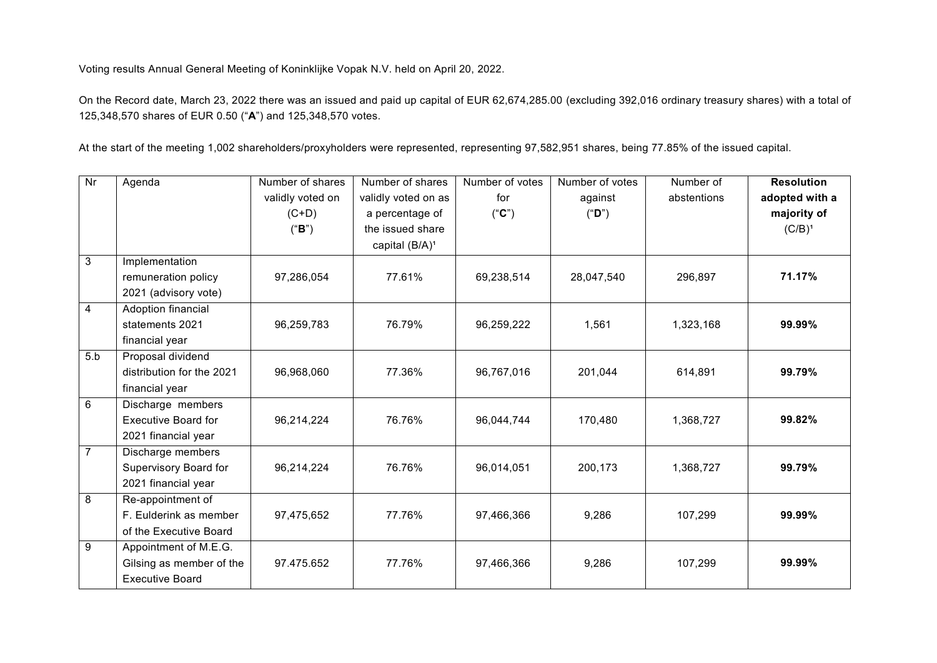Voting results Annual General Meeting of Koninklijke Vopak N.V. held on April 20, 2022.

On the Record date, March 23, 2022 there was an issued and paid up capital of EUR 62,674,285.00 (excluding 392,016 ordinary treasury shares) with a total of 125,348,570 shares of EUR 0.50 ("**A**") and 125,348,570 votes.

At the start of the meeting 1,002 shareholders/proxyholders were represented, representing 97,582,951 shares, being 77.85% of the issued capital.

| $\overline{\mathsf{Nr}}$ | Agenda                     | Number of shares | Number of shares           | Number of votes | Number of votes | Number of   | <b>Resolution</b> |
|--------------------------|----------------------------|------------------|----------------------------|-----------------|-----------------|-------------|-------------------|
|                          |                            | validly voted on | validly voted on as        | for             | against         | abstentions | adopted with a    |
|                          |                            | $(C+D)$          | a percentage of            | ("C")           | ("D")           |             | majority of       |
|                          |                            | ("B")            | the issued share           |                 |                 |             | $(C/B)^1$         |
|                          |                            |                  | capital (B/A) <sup>1</sup> |                 |                 |             |                   |
| $\overline{3}$           | Implementation             |                  |                            |                 |                 |             |                   |
|                          | remuneration policy        | 97,286,054       | 77.61%                     | 69,238,514      | 28,047,540      | 296,897     | 71.17%            |
|                          | 2021 (advisory vote)       |                  |                            |                 |                 |             |                   |
| 4                        | Adoption financial         |                  |                            |                 |                 |             |                   |
|                          | statements 2021            | 96,259,783       | 76.79%                     | 96,259,222      | 1,561           | 1,323,168   | 99.99%            |
|                          | financial year             |                  |                            |                 |                 |             |                   |
| 5.b                      | Proposal dividend          |                  |                            |                 |                 |             |                   |
|                          | distribution for the 2021  | 96,968,060       | 77.36%                     | 96,767,016      | 201,044         | 614,891     | 99.79%            |
|                          | financial year             |                  |                            |                 |                 |             |                   |
| 6                        | Discharge members          |                  |                            |                 |                 |             |                   |
|                          | <b>Executive Board for</b> | 96,214,224       | 76.76%                     | 96,044,744      | 170,480         | 1,368,727   | 99.82%            |
|                          | 2021 financial year        |                  |                            |                 |                 |             |                   |
| $\overline{7}$           | Discharge members          |                  |                            |                 |                 |             |                   |
|                          | Supervisory Board for      | 96,214,224       | 76.76%                     | 96,014,051      | 200,173         | 1,368,727   | 99.79%            |
|                          | 2021 financial year        |                  |                            |                 |                 |             |                   |
| 8                        | Re-appointment of          |                  |                            |                 |                 |             |                   |
|                          | F. Eulderink as member     | 97,475,652       | 77.76%                     | 97,466,366      | 9,286           | 107,299     | 99.99%            |
|                          | of the Executive Board     |                  |                            |                 |                 |             |                   |
| 9                        | Appointment of M.E.G.      |                  |                            |                 |                 |             |                   |
|                          | Gilsing as member of the   | 97.475.652       | 77.76%                     | 97,466,366      | 9,286           | 107,299     | 99.99%            |
|                          | <b>Executive Board</b>     |                  |                            |                 |                 |             |                   |